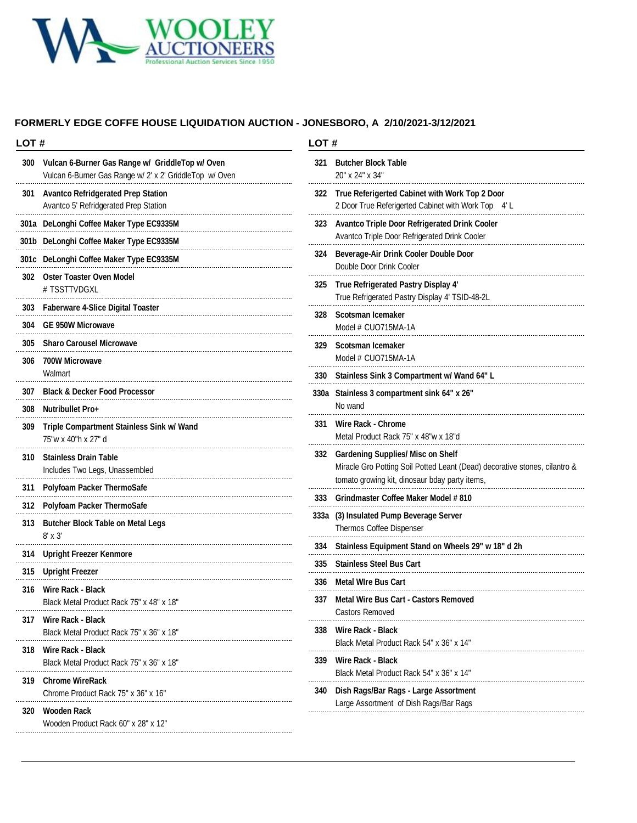

### **FORMERLY EDGE COFFE HOUSE LIQUIDATION AUCTION - JONESBORO, A 2/10/2021-3/12/2021**

| LOT# |                                                                                                            |     | LOT#                                                                                                                                                                     |  |
|------|------------------------------------------------------------------------------------------------------------|-----|--------------------------------------------------------------------------------------------------------------------------------------------------------------------------|--|
| 300  | Vulcan 6-Burner Gas Range w/ GriddleTop w/ Oven<br>Vulcan 6-Burner Gas Range w/ 2' x 2' GriddleTop w/ Oven | 321 | <b>Butcher Block Table</b><br>20" x 24" x 34"                                                                                                                            |  |
| 301  | <b>Avantco Refridgerated Prep Station</b><br>Avantco 5' Refridgerated Prep Station                         |     | 322 True Referigerted Cabinet with Work Top 2 Door<br>2 Door True Referigerted Cabinet with Work Top 4' L                                                                |  |
|      | 301a DeLonghi Coffee Maker Type EC9335M                                                                    |     | 323 Avantco Triple Door Refrigerated Drink Cooler<br>Avantco Triple Door Refrigerated Drink Cooler<br>Beverage-Air Drink Cooler Double Door<br>Double Door Drink Cooler  |  |
|      | 301b DeLonghi Coffee Maker Type EC9335M                                                                    |     |                                                                                                                                                                          |  |
|      | 301c DeLonghi Coffee Maker Type EC9335M                                                                    | 324 |                                                                                                                                                                          |  |
|      | 302 Oster Toaster Oven Model<br># TSSTTVDGXL                                                               |     | 325 True Refrigerated Pastry Display 4'<br>True Refrigerated Pastry Display 4' TSID-48-2L                                                                                |  |
|      | 303 Faberware 4-Slice Digital Toaster                                                                      |     | 328 Scotsman Icemaker<br>Model # CUO715MA-1A                                                                                                                             |  |
|      | 304 GE 950W Microwave                                                                                      |     |                                                                                                                                                                          |  |
|      | 305 Sharo Carousel Microwave                                                                               | 329 | Scotsman Icemaker                                                                                                                                                        |  |
| 306  | <b>700W Microwave</b>                                                                                      |     | Model # CUO715MA-1A                                                                                                                                                      |  |
|      | Walmart                                                                                                    |     | 330 Stainless Sink 3 Compartment w/ Wand 64" L                                                                                                                           |  |
|      | 307 Black & Decker Food Processor                                                                          |     | 330a Stainless 3 compartment sink 64" x 26"<br>No wand                                                                                                                   |  |
| 308  | <b>Nutribullet Pro+</b>                                                                                    |     |                                                                                                                                                                          |  |
| 309  | Triple Compartment Stainless Sink w/ Wand<br>75"w x 40"h x 27" d                                           | 331 | Wire Rack - Chrome<br>Metal Product Rack 75" x 48"w x 18"d                                                                                                               |  |
| 310  | <b>Stainless Drain Table</b><br>Includes Two Legs, Unassembled                                             | 332 | <b>Gardening Supplies/ Misc on Shelf</b><br>Miracle Gro Potting Soil Potted Leant (Dead) decorative stones, cilantro &<br>tomato growing kit, dinosaur bday party items, |  |
|      | 311 Polyfoam Packer ThermoSafe                                                                             |     | 333 Grindmaster Coffee Maker Model # 810                                                                                                                                 |  |
|      | 312 Polyfoam Packer ThermoSafe                                                                             |     |                                                                                                                                                                          |  |
| 313  | <b>Butcher Block Table on Metal Legs</b><br>8' x 3'                                                        |     | 333a (3) Insulated Pump Beverage Server<br>Thermos Coffee Dispenser                                                                                                      |  |
|      | 314 Upright Freezer Kenmore                                                                                |     | 334 Stainless Equipment Stand on Wheels 29" w 18" d 2h                                                                                                                   |  |
| 315  | <b>Upright Freezer</b>                                                                                     |     | 335 Stainless Steel Bus Cart                                                                                                                                             |  |
| 316  | Wire Rack - Black<br>Black Metal Product Rack 75" x 48" x 18"                                              |     | 336 Metal Wire Bus Cart                                                                                                                                                  |  |
|      |                                                                                                            |     | 337 Metal Wire Bus Cart - Castors Removed                                                                                                                                |  |
| 317  | Wire Rack - Black<br>Black Metal Product Rack 75" x 36" x 18"                                              | 338 | <b>Castors Removed</b><br>Wire Rack - Black                                                                                                                              |  |
| 318  | Wire Rack - Black                                                                                          | 339 | Black Metal Product Rack 54" x 36" x 14"                                                                                                                                 |  |
|      | Black Metal Product Rack 75" x 36" x 18"                                                                   |     | Wire Rack - Black                                                                                                                                                        |  |
| 319  | <b>Chrome WireRack</b><br>Chrome Product Rack 75" x 36" x 16"                                              | 340 | Black Metal Product Rack 54" x 36" x 14"<br>Dish Rags/Bar Rags - Large Assortment                                                                                        |  |
| 320  | Wooden Rack<br>Wooden Product Rack 60" x 28" x 12"                                                         |     | Large Assortment of Dish Rags/Bar Rags                                                                                                                                   |  |
|      |                                                                                                            |     |                                                                                                                                                                          |  |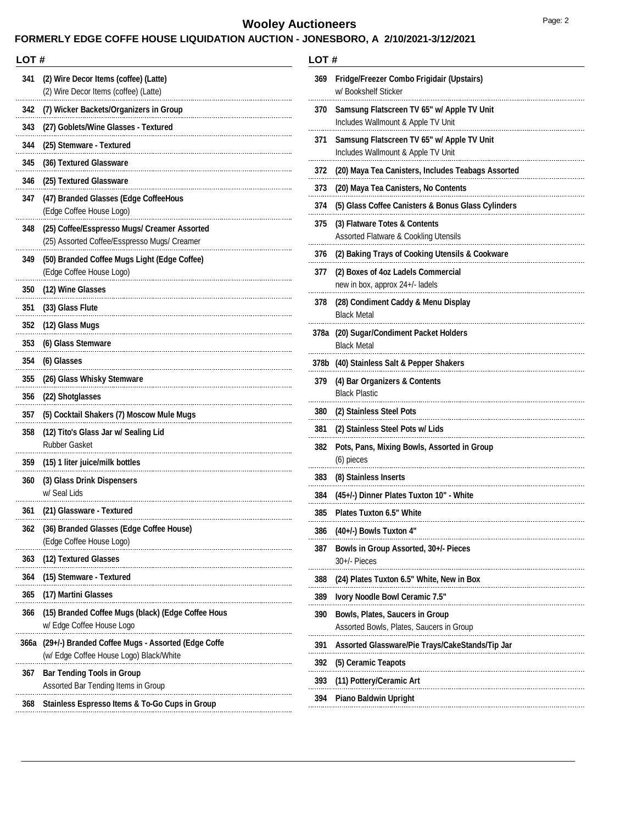# **Wooley Auctioneers** Page: 2

### **FORMERLY EDGE COFFE HOUSE LIQUIDATION AUCTION - JONESBORO, A 2/10/2021-3/12/2021**

| LOT # |                                                                                               |
|-------|-----------------------------------------------------------------------------------------------|
| 341   | (2) Wire Decor Items (coffee) (Latte)<br>(2) Wire Decor Items (coffee) (Latte)                |
| 342   | (7) Wicker Backets/Organizers in Group                                                        |
| 343   | (27) Goblets/Wine Glasses - Textured                                                          |
| 344   | (25) Stemware - Textured                                                                      |
| 345   | (36) Textured Glassware                                                                       |
| 346   | (25) Textured Glassware                                                                       |
| 347   | (47) Branded Glasses (Edge CoffeeHous<br>(Edge Coffee House Logo)                             |
| 348   | (25) Coffee/Esspresso Mugs/ Creamer Assorted<br>(25) Assorted Coffee/Esspresso Mugs/ Creamer  |
| 349   | (50) Branded Coffee Mugs Light (Edge Coffee)<br>(Edge Coffee House Logo)                      |
| 350   | (12) Wine Glasses                                                                             |
| 351   | (33) Glass Flute                                                                              |
| 352   | (12) Glass Mugs                                                                               |
| 353   | (6) Glass Stemware                                                                            |
| 354   | (6) Glasses                                                                                   |
| 355   | (26) Glass Whisky Stemware                                                                    |
| 356   | (22) Shotglasses                                                                              |
| 357   | (5) Cocktail Shakers (7) Moscow Mule Mugs                                                     |
| 358   | (12) Tito's Glass Jar w/ Sealing Lid<br><b>Rubber Gasket</b>                                  |
| 359   | (15) 1 liter juice/milk bottles                                                               |
| 360   | (3) Glass Drink Dispensers<br>w/ Seal Lids                                                    |
| 361   | (21) Glassware - Textured                                                                     |
| 362   | (36) Branded Glasses (Edge Coffee House)<br>(Edge Coffee House Logo)                          |
| 363   | (12) Textured Glasses                                                                         |
| 364   | (15) Stemware - Textured                                                                      |
| 365   | (17) Martini Glasses                                                                          |
| 366   | (15) Branded Coffee Mugs (black) (Edge Coffee Hous<br>w/ Edge Coffee House Logo               |
| 366a  | (29+/-) Branded Coffee Mugs - Assorted (Edge Coffe<br>(w/ Edge Coffee House Logo) Black/White |
| 367   | <b>Bar Tending Tools in Group</b><br>Assorted Bar Tending Items in Group                      |
| 368   | <b>Stainless Espresso Items &amp; To-Go Cups in Group</b>                                     |

### **LOT #**

| 369  | Fridge/Freezer Combo Frigidair (Upstairs)<br>w/ Bookshelf Sticker                  |
|------|------------------------------------------------------------------------------------|
| 370  | Samsung Flatscreen TV 65" w/ Apple TV Unit<br>Includes Wallmount & Apple TV Unit   |
| 371  | Samsung Flatscreen TV 65" w/ Apple TV Unit<br>Includes Wallmount & Apple TV Unit   |
| 372  | (20) Maya Tea Canisters, Includes Teabags Assorted                                 |
| 373  | (20) Maya Tea Canisters, No Contents                                               |
| 374  | (5) Glass Coffee Canisters & Bonus Glass Cylinders                                 |
| 375  | (3) Flatware Totes & Contents<br>Assorted Flatware & Cookling Utensils             |
| 376  | (2) Baking Trays of Cooking Utensils & Cookware                                    |
| 377  | (2) Boxes of 4oz Ladels Commercial<br>new in box, approx 24+/- ladels              |
| 378  | (28) Condiment Caddy & Menu Display<br><b>Black Metal</b>                          |
| 378a | (20) Sugar/Condiment Packet Holders<br><b>Black Metal</b>                          |
| 378b | (40) Stainless Salt & Pepper Shakers                                               |
| 379  | (4) Bar Organizers & Contents<br><b>Black Plastic</b>                              |
| 380  | (2) Stainless Steel Pots                                                           |
| 381  | (2) Stainless Steel Pots w/ Lids                                                   |
| 382  | Pots, Pans, Mixing Bowls, Assorted in Group<br>(6) pieces                          |
| 383  | (8) Stainless Inserts                                                              |
| 384  | (45+/-) Dinner Plates Tuxton 10" - White                                           |
| 385  | <b>Plates Tuxton 6.5" White</b>                                                    |
| 386  | (40+/-) Bowls Tuxton 4"                                                            |
| 387  | <b>Bowls in Group Assorted, 30+/- Pieces</b><br>30+/- Pieces                       |
| 388  | (24) Plates Tuxton 6.5" White, New in Box                                          |
| 389  | Ivory Noodle Bowl Ceramic 7.5"                                                     |
| 390  | <b>Bowls, Plates, Saucers in Group</b><br>Assorted Bowls, Plates, Saucers in Group |
| 391  | Assorted Glassware/Pie Trays/CakeStands/Tip Jar                                    |
| 392  | (5) Ceramic Teapots                                                                |
| 393  | (11) Pottery/Ceramic Art                                                           |
| 394  | Piano Baldwin Upright                                                              |
|      |                                                                                    |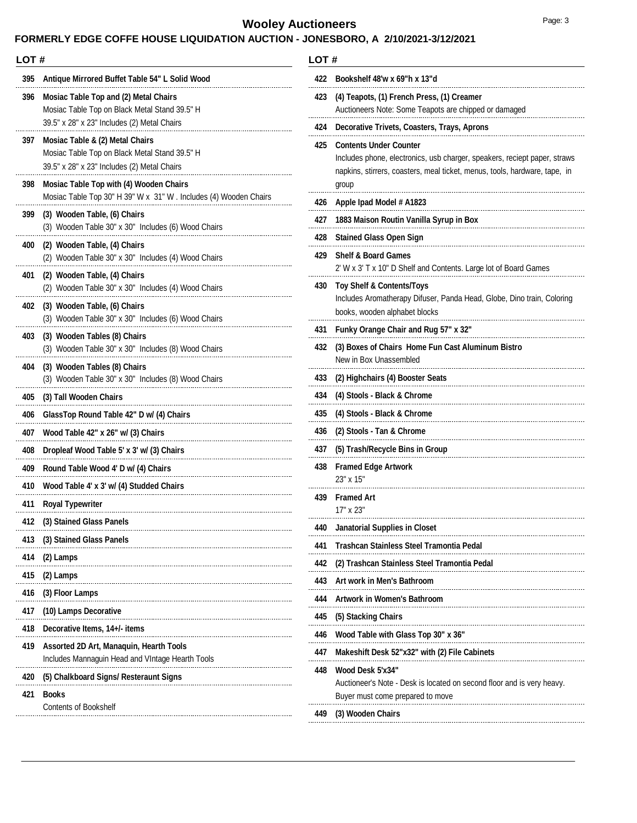## **Wooley Auctioneers** Page: 3

## **FORMERLY EDGE COFFE HOUSE LIQUIDATION AUCTION - JONESBORO, A 2/10/2021-3/12/2021**

#### **LOT #**

| 395 | Antique Mirrored Buffet Table 54" L Solid Wood                                                                                        |  |
|-----|---------------------------------------------------------------------------------------------------------------------------------------|--|
| 396 | Mosiac Table Top and (2) Metal Chairs<br>Mosiac Table Top on Black Metal Stand 39.5" H<br>39.5" x 28" x 23" Includes (2) Metal Chairs |  |
| 397 | Mosiac Table & (2) Metal Chairs<br>Mosiac Table Top on Black Metal Stand 39.5" H<br>39.5" x 28" x 23" Includes (2) Metal Chairs       |  |
| 398 | Mosiac Table Top with (4) Wooden Chairs<br>Mosiac Table Top 30" H 39" W x 31" W. Includes (4) Wooden Chairs                           |  |
| 399 | (3) Wooden Table, (6) Chairs<br>(3) Wooden Table 30" x 30" Includes (6) Wood Chairs                                                   |  |
| 400 | (2) Wooden Table, (4) Chairs<br>(2) Wooden Table 30" x 30" Includes (4) Wood Chairs                                                   |  |
| 401 | (2) Wooden Table, (4) Chairs<br>(2) Wooden Table 30" x 30" Includes (4) Wood Chairs                                                   |  |
| 402 | (3) Wooden Table, (6) Chairs<br>(3) Wooden Table 30" x 30" Includes (6) Wood Chairs                                                   |  |
| 403 | (3) Wooden Tables (8) Chairs<br>(3) Wooden Table 30" x 30" Includes (8) Wood Chairs                                                   |  |
| 404 | (3) Wooden Tables (8) Chairs<br>(3) Wooden Table 30" x 30" Includes (8) Wood Chairs                                                   |  |
| 405 | (3) Tall Wooden Chairs                                                                                                                |  |
| 406 | GlassTop Round Table 42" D w/ (4) Chairs                                                                                              |  |
| 407 | Wood Table 42" x 26" w/ (3) Chairs                                                                                                    |  |
| 408 | Dropleaf Wood Table 5' x 3' w/ (3) Chairs                                                                                             |  |
| 409 | Round Table Wood 4' D w/ (4) Chairs                                                                                                   |  |
| 410 | Wood Table 4' x 3' w/ (4) Studded Chairs                                                                                              |  |
| 411 | <b>Royal Typewriter</b>                                                                                                               |  |
| 412 | (3) Stained Glass Panels                                                                                                              |  |
| 413 | (3) Stained Glass Panels                                                                                                              |  |
| 414 | (2) Lamps                                                                                                                             |  |
| 415 | (2) Lamps                                                                                                                             |  |
| 416 | (3) Floor Lamps                                                                                                                       |  |
| 417 | (10) Lamps Decorative                                                                                                                 |  |
| 418 | Decorative Items, 14+/- items                                                                                                         |  |
| 419 | <b>Assorted 2D Art, Manaquin, Hearth Tools</b><br>Includes Mannaguin Head and VIntage Hearth Tools                                    |  |
| 420 | (5) Chalkboard Signs/ Resteraunt Signs                                                                                                |  |
| 421 | <b>Books</b><br><b>Contents of Bookshelf</b>                                                                                          |  |

#### **LOT #**

| 422 | Bookshelf 48'w x 69"h x 13"d                                                                                                                                                             |  |  |  |  |  |
|-----|------------------------------------------------------------------------------------------------------------------------------------------------------------------------------------------|--|--|--|--|--|
| 423 | (4) Teapots, (1) French Press, (1) Creamer                                                                                                                                               |  |  |  |  |  |
|     | Auctioneers Note: Some Teapots are chipped or damaged                                                                                                                                    |  |  |  |  |  |
| 424 | Decorative Trivets, Coasters, Trays, Aprons                                                                                                                                              |  |  |  |  |  |
| 425 | <b>Contents Under Counter</b><br>Includes phone, electronics, usb charger, speakers, reciept paper, straws<br>napkins, stirrers, coasters, meal ticket, menus, tools, hardware, tape, in |  |  |  |  |  |
|     | group                                                                                                                                                                                    |  |  |  |  |  |
| 426 | Apple Ipad Model # A1823                                                                                                                                                                 |  |  |  |  |  |
| 427 | 1883 Maison Routin Vanilla Syrup in Box                                                                                                                                                  |  |  |  |  |  |
| 428 | <b>Stained Glass Open Sign</b>                                                                                                                                                           |  |  |  |  |  |
| 429 | <b>Shelf &amp; Board Games</b><br>2' W x 3' T x 10" D Shelf and Contents. Large lot of Board Games                                                                                       |  |  |  |  |  |
| 430 | <b>Toy Shelf &amp; Contents/Toys</b><br>Includes Aromatherapy Difuser, Panda Head, Globe, Dino train, Coloring<br>books, wooden alphabet blocks                                          |  |  |  |  |  |
| 431 | Funky Orange Chair and Rug 57" x 32"                                                                                                                                                     |  |  |  |  |  |
| 432 | (3) Boxes of Chairs Home Fun Cast Aluminum Bistro<br>New in Box Unassembled                                                                                                              |  |  |  |  |  |
| 433 | (2) Highchairs (4) Booster Seats                                                                                                                                                         |  |  |  |  |  |
| 434 | (4) Stools - Black & Chrome                                                                                                                                                              |  |  |  |  |  |
| 435 | (4) Stools - Black & Chrome                                                                                                                                                              |  |  |  |  |  |
| 436 | (2) Stools - Tan & Chrome                                                                                                                                                                |  |  |  |  |  |
| 437 | (5) Trash/Recycle Bins in Group                                                                                                                                                          |  |  |  |  |  |
| 438 | <b>Framed Edge Artwork</b><br>23" x 15"                                                                                                                                                  |  |  |  |  |  |
| 439 | <b>Framed Art</b><br>17" x 23"                                                                                                                                                           |  |  |  |  |  |
| 440 | Janatorial Supplies in Closet                                                                                                                                                            |  |  |  |  |  |
| 441 | Trashcan Stainless Steel Tramontia Pedal                                                                                                                                                 |  |  |  |  |  |
| 442 | (2) Trashcan Stainless Steel Tramontia Pedal                                                                                                                                             |  |  |  |  |  |
| 443 | Art work in Men's Bathroom                                                                                                                                                               |  |  |  |  |  |
| 444 | <b>Artwork in Women's Bathroom</b>                                                                                                                                                       |  |  |  |  |  |
| 445 | (5) Stacking Chairs                                                                                                                                                                      |  |  |  |  |  |
| 446 | Wood Table with Glass Top 30" x 36"                                                                                                                                                      |  |  |  |  |  |
| 447 | Makeshift Desk 52"x32" with (2) File Cabinets                                                                                                                                            |  |  |  |  |  |
| 448 | Wood Desk 5'x34"<br>Auctioneer's Note - Desk is located on second floor and is very heavy.<br>Buyer must come prepared to move                                                           |  |  |  |  |  |
| 449 | (3) Wooden Chairs                                                                                                                                                                        |  |  |  |  |  |
|     |                                                                                                                                                                                          |  |  |  |  |  |